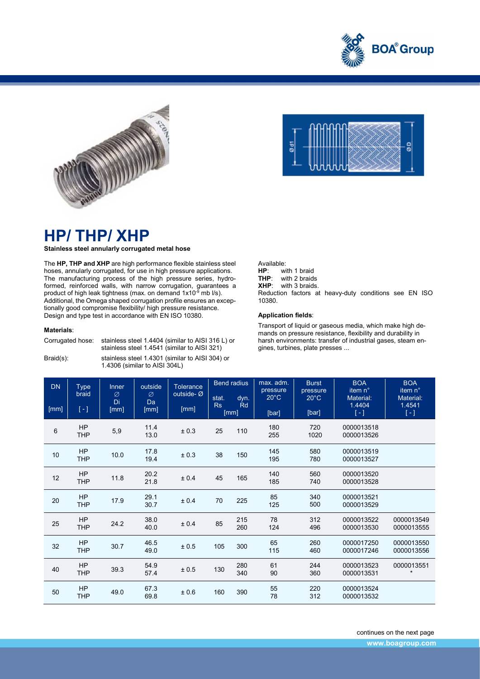



## HP/ THP/ XHP

Stainless steel annularly corrugated metal hose

The HP, THP and XHP are high performance flexible stainless steel hoses, annularly corrugated, for use in high pressure applications. The manufacturing process of the high pressure series, hydroformed, reinforced walls, with narrow corrugation, guarantees a product of high leak tightness (max. on demand  $1x10^{-9}$  mb  $l/s$ ). Additional, the Omega shaped corrugation profile ensures an exceptionally good compromise flexibility/ high pressure resistance. Design and type test in accordance with EN ISO 10380.

## Materials:

| Corrugated hose: | stainless steel 1.4404 (similar to AISI 316 L) or<br>stainless steel 1.4541 (similar to AISI 321) |
|------------------|---------------------------------------------------------------------------------------------------|
| $Braid(s)$ :     | stainless steel 1.4301 (similar to AISI 304) or<br>1.4306 (similar to AISI 304L)                  |



ī

L

Available:<br>**HP**: wi HP: with 1 braid<br>THP: with 2 braids with 2 braids XHP: with 3 braids. Reduction factors at heavy-duty conditions see EN ISO 10380.

## Application fields:

Transport of liquid or gaseous media, which make high demands on pressure resistance, flexibility and durability in harsh environments: transfer of industrial gases, steam engines, turbines, plate presses ...

| <b>DN</b> | <b>Type</b><br>braid | outside<br><b>Inner</b><br>Ø<br>Ø |              | <b>Tolerance</b><br>outside-Ø | <b>Bend radius</b> |                    | max. adm.<br>pressure   | <b>Burst</b><br>pressure | <b>BOA</b><br>item n°                      | <b>BOA</b><br>item n°                    |
|-----------|----------------------|-----------------------------------|--------------|-------------------------------|--------------------|--------------------|-------------------------|--------------------------|--------------------------------------------|------------------------------------------|
| [mm]      | $\left[ -\right]$    | Di<br>[mm]                        | Da<br>[mm]   | [mm]                          | stat.<br>Rs        | dyn.<br>Rd<br>[mm] | $20^{\circ}$ C<br>[bar] | $20^{\circ}$ C<br>[bar]  | Material:<br>1.4404<br>$\lbrack - \rbrack$ | Material:<br>1.4541<br>$\lceil - \rceil$ |
| $\,6\,$   | HP<br><b>THP</b>     | 5,9                               | 11.4<br>13.0 | ± 0.3                         | 25                 | 110                | 180<br>255              | 720<br>1020              | 0000013518<br>0000013526                   |                                          |
| $10\,$    | HP<br><b>THP</b>     | 10.0                              | 17.8<br>19.4 | ± 0.3                         | 38                 | 150                | 145<br>195              | 580<br>780               | 0000013519<br>0000013527                   |                                          |
| 12        | HP<br><b>THP</b>     | 11.8                              | 20.2<br>21.8 | ± 0.4                         | 45                 | 165                | 140<br>185              | 560<br>740               | 0000013520<br>0000013528                   |                                          |
| 20        | HP<br><b>THP</b>     | 17.9                              | 29.1<br>30.7 | ± 0.4                         | 70                 | 225                | 85<br>125               | 340<br>500               | 0000013521<br>0000013529                   |                                          |
| 25        | HP<br><b>THP</b>     | 24.2                              | 38.0<br>40.0 | ± 0.4                         | 85                 | 215<br>260         | 78<br>124               | 312<br>496               | 0000013522<br>0000013530                   | 0000013549<br>0000013555                 |
| 32        | HP<br><b>THP</b>     | 30.7                              | 46.5<br>49.0 | ± 0.5                         | 105                | 300                | 65<br>115               | 260<br>460               | 0000017250<br>0000017246                   | 0000013550<br>0000013556                 |
| 40        | HP<br><b>THP</b>     | 39.3                              | 54.9<br>57.4 | ± 0.5                         | 130                | 280<br>340         | 61<br>90                | 244<br>360               | 0000013523<br>0000013531                   | 0000013551<br>$\star$                    |
| $50\,$    | HP<br><b>THP</b>     | 49.0                              | 67.3<br>69.8 | ±0.6                          | 160                | 390                | 55<br>78                | 220<br>312               | 0000013524<br>0000013532                   |                                          |

continues on the next page